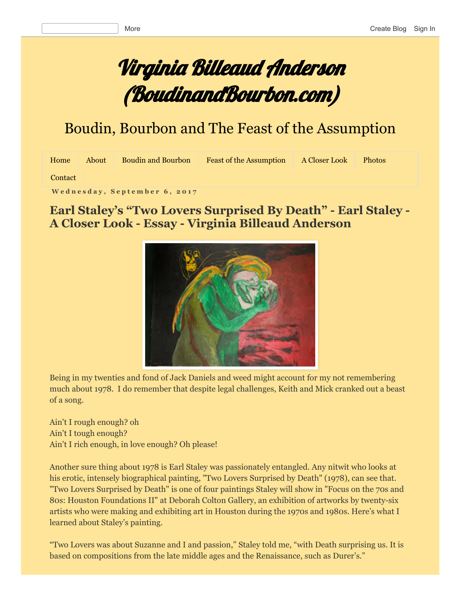# Virginia Billeaud Anderson (BoudinandBourbon.com)

# Boudin, Bourbon and The Feast of the Assumption

| Home    | About | <b>Boudin and Bourbon</b> | <b>Feast of the Assumption</b> | A Closer Look | <b>Photos</b> |  |
|---------|-------|---------------------------|--------------------------------|---------------|---------------|--|
| Contact |       |                           |                                |               |               |  |

[Contact](http://www.boudinandbourbon.com/p/blog-page.html)

**W e d n e s d a y , S e p t e m b e r 6 , 2 0 1 7**

### **Earl Staley's "Two Lovers Surprised By Death" Earl Staley A Closer Look Essay Virginia Billeaud Anderson**



Being in my twenties and fond of Jack Daniels and weed might account for my not remembering much about 1978. I do remember that despite legal challenges, Keith and Mick cranked out a beast of a song.

Ain't I rough enough? oh Ain't I tough enough? Ain't I rich enough, in love enough? Oh please!

Another sure thing about 1978 is Earl Staley was passionately entangled. Any nitwit who looks at his erotic, intensely biographical painting, "Two Lovers Surprised by Death" (1978), can see that. "Two Lovers Surprised by Death" is one of four paintings Staley will show in "Focus on the 70s and 80s: Houston Foundations II" at Deborah Colton Gallery, an exhibition of artworks by twenty-six artists who were making and exhibiting art in Houston during the 1970s and 1980s. Here's what I learned about Staley's painting.

"Two Lovers was about Suzanne and I and passion," Staley told me, "with Death surprising us. It is based on compositions from the late middle ages and the Renaissance, such as Durer's."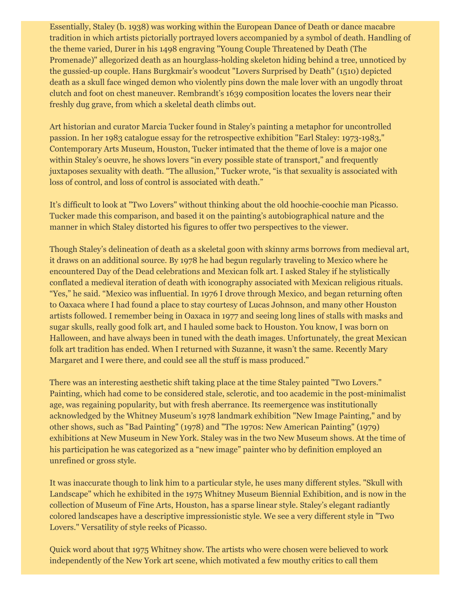Essentially, Staley (b. 1938) was working within the European Dance of Death or dance macabre tradition in which artists pictorially portrayed lovers accompanied by a symbol of death. Handling of the theme varied, Durer in his 1498 engraving "Young Couple Threatened by Death (The Promenade)" allegorized death as an hourglass-holding skeleton hiding behind a tree, unnoticed by the gussied-up couple. Hans Burgkmair's woodcut "Lovers Surprised by Death" (1510) depicted death as a skull face winged demon who violently pins down the male lover with an ungodly throat clutch and foot on chest maneuver. Rembrandt's 1639 composition locates the lovers near their freshly dug grave, from which a skeletal death climbs out.

Art historian and curator Marcia Tucker found in Staley's painting a metaphor for uncontrolled passion. In her 1983 catalogue essay for the retrospective exhibition "Earl Staley: 1973-1983," Contemporary Arts Museum, Houston, Tucker intimated that the theme of love is a major one within Staley's oeuvre, he shows lovers "in every possible state of transport," and frequently juxtaposes sexuality with death. "The allusion," Tucker wrote, "is that sexuality is associated with loss of control, and loss of control is associated with death."

It's difficult to look at "Two Lovers" without thinking about the old hoochie-coochie man Picasso. Tucker made this comparison, and based it on the painting's autobiographical nature and the manner in which Staley distorted his figures to offer two perspectives to the viewer.

Though Staley's delineation of death as a skeletal goon with skinny arms borrows from medieval art, it draws on an additional source. By 1978 he had begun regularly traveling to Mexico where he encountered Day of the Dead celebrations and Mexican folk art. I asked Staley if he stylistically conflated a medieval iteration of death with iconography associated with Mexican religious rituals. "Yes," he said. "Mexico was influential. In 1976 I drove through Mexico, and began returning often to Oaxaca where I had found a place to stay courtesy of Lucas Johnson, and many other Houston artists followed. I remember being in Oaxaca in 1977 and seeing long lines of stalls with masks and sugar skulls, really good folk art, and I hauled some back to Houston. You know, I was born on Halloween, and have always been in tuned with the death images. Unfortunately, the great Mexican folk art tradition has ended. When I returned with Suzanne, it wasn't the same. Recently Mary Margaret and I were there, and could see all the stuff is mass produced."

There was an interesting aesthetic shift taking place at the time Staley painted "Two Lovers." Painting, which had come to be considered stale, sclerotic, and too academic in the post-minimalist age, was regaining popularity, but with fresh aberrance. Its reemergence was institutionally acknowledged by the Whitney Museum's 1978 landmark exhibition "New Image Painting," and by other shows, such as "Bad Painting" (1978) and "The 1970s: New American Painting" (1979) exhibitions at New Museum in New York. Staley was in the two New Museum shows. At the time of his participation he was categorized as a "new image" painter who by definition employed an unrefined or gross style.

It was inaccurate though to link him to a particular style, he uses many different styles. "Skull with Landscape" which he exhibited in the 1975 Whitney Museum Biennial Exhibition, and is now in the collection of Museum of Fine Arts, Houston, has a sparse linear style. Staley's elegant radiantly colored landscapes have a descriptive impressionistic style. We see a very different style in "Two Lovers." Versatility of style reeks of Picasso.

Quick word about that 1975 Whitney show. The artists who were chosen were believed to work independently of the New York art scene, which motivated a few mouthy critics to call them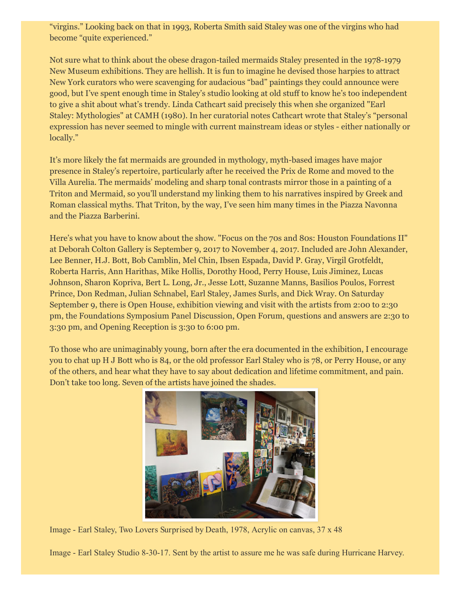"virgins." Looking back on that in 1993, Roberta Smith said Staley was one of the virgins who had become "quite experienced."

Not sure what to think about the obese dragon-tailed mermaids Staley presented in the 1978-1979 New Museum exhibitions. They are hellish. It is fun to imagine he devised those harpies to attract New York curators who were scavenging for audacious "bad" paintings they could announce were good, but I've spent enough time in Staley's studio looking at old stuff to know he's too independent to give a shit about what's trendy. Linda Cathcart said precisely this when she organized "Earl Staley: Mythologies" at CAMH (1980). In her curatorial notes Cathcart wrote that Staley's "personal expression has never seemed to mingle with current mainstream ideas or styles - either nationally or locally."

It's more likely the fat mermaids are grounded in mythology, myth-based images have major presence in Staley's repertoire, particularly after he received the Prix de Rome and moved to the Villa Aurelia. The mermaids' modeling and sharp tonal contrasts mirror those in a painting of a Triton and Mermaid, so you'll understand my linking them to his narratives inspired by Greek and Roman classical myths. That Triton, by the way, I've seen him many times in the Piazza Navonna and the Piazza Barberini.

Here's what you have to know about the show. "Focus on the 70s and 80s: Houston Foundations II" at Deborah Colton Gallery is September 9, 2017 to November 4, 2017. Included are John Alexander, Lee Benner, H.J. Bott, Bob Camblin, Mel Chin, Ibsen Espada, David P. Gray, Virgil Grotfeldt, Roberta Harris, Ann Harithas, Mike Hollis, Dorothy Hood, Perry House, Luis Jiminez, Lucas Johnson, Sharon Kopriva, Bert L. Long, Jr., Jesse Lott, Suzanne Manns, Basilios Poulos, Forrest Prince, Don Redman, Julian Schnabel, Earl Staley, James Surls, and Dick Wray. On Saturday September 9, there is Open House, exhibition viewing and visit with the artists from 2:00 to 2:30 pm, the Foundations Symposium Panel Discussion, Open Forum, questions and answers are 2:30 to 3:30 pm, and Opening Reception is 3:30 to 6:00 pm.

To those who are unimaginably young, born after the era documented in the exhibition, I encourage you to chat up H J Bott who is 84, or the old professor Earl Staley who is 78, or Perry House, or any of the others, and hear what they have to say about dedication and lifetime commitment, and pain. Don't take too long. Seven of the artists have joined the shades.



Image Earl Staley, Two Lovers Surprised by Death, 1978, Acrylic on canvas, 37 x 48

Image - Earl Staley Studio 8-30-17. Sent by the artist to assure me he was safe during Hurricane Harvey.